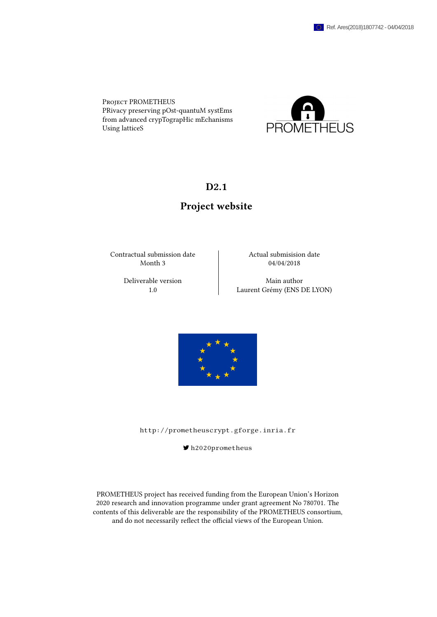Project PROMETHEUS PRivacy preserving pOst-quantuM systEms from advanced crypTograpHic mEchanisms Using latticeS



## D2.1

# Project website

Contractual submission date  $\vert$  Actual submisision date Month 3 04/04/2018

Deliverable version **Main** author 1.0 Laurent Grémy (ENS DE LYON)



<http://prometheuscrypt.gforge.inria.fr>

[h2020prometheus](https://twitter.com/h2020prometheus)

PROMETHEUS project has received funding from the European Union's Horizon 2020 research and innovation programme under grant agreement No 780701. The contents of this deliverable are the responsibility of the PROMETHEUS consortium, and do not necessarily reflect the official views of the European Union.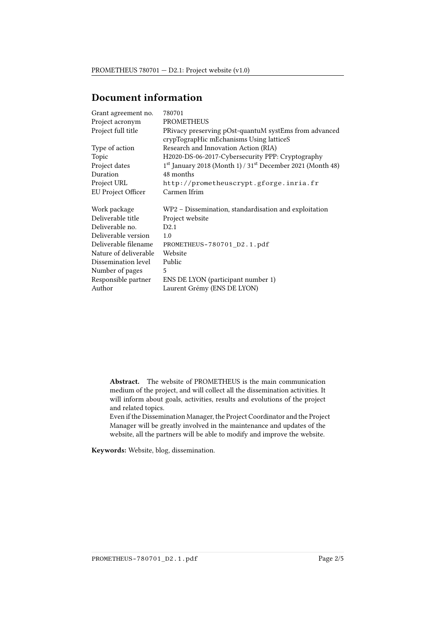## Document information

| Grant agreement no.   | 780701                                                     |
|-----------------------|------------------------------------------------------------|
| Project acronym       | <b>PROMETHEUS</b>                                          |
| Project full title    | PRivacy preserving pOst-quantuM systEms from advanced      |
|                       | crypTograpHic mEchanisms Using latticeS                    |
| Type of action        | Research and Innovation Action (RIA)                       |
| Topic                 | H2020-DS-06-2017-Cybersecurity PPP: Cryptography           |
| Project dates         | 1st January 2018 (Month 1) / 31st December 2021 (Month 48) |
| Duration              | 48 months                                                  |
| Project URL           | http://prometheuscrypt.gforge.inria.fr                     |
| EU Project Officer    | Carmen Ifrim                                               |
| Work package          | WP2 - Dissemination, standardisation and exploitation      |
| Deliverable title     | Project website                                            |
| Deliverable no.       | D2.1                                                       |
| Deliverable version   | 1.0                                                        |
| Deliverable filename  | PROMETHEUS-780701_D2.1.pdf                                 |
| Nature of deliverable | Website                                                    |
| Dissemination level   | Public                                                     |
| Number of pages       | 5                                                          |
| Responsible partner   | ENS DE LYON (participant number 1)                         |
| Author                | Laurent Grémy (ENS DE LYON)                                |
|                       |                                                            |

Abstract. The website of PROMETHEUS is the main communication medium of the project, and will collect all the dissemination activities. It will inform about goals, activities, results and evolutions of the project and related topics.

Even if the Dissemination Manager, the Project Coordinator and the Project Manager will be greatly involved in the maintenance and updates of the website, all the partners will be able to modify and improve the website.

Keywords: Website, blog, dissemination.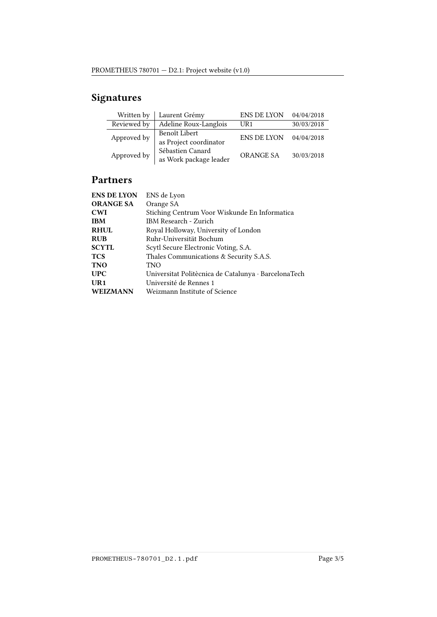# Signatures

| Written by  | Laurent Grémy                              | <b>ENS DE LYON</b> | 04/04/2018 |
|-------------|--------------------------------------------|--------------------|------------|
| Reviewed by | Adeline Roux-Langlois                      | UR <sub>1</sub>    | 30/03/2018 |
| Approved by | Benoît Libert<br>as Project coordinator    | <b>ENS DE LYON</b> | 04/04/2018 |
| Approved by | Sébastien Canard<br>as Work package leader | ORANGE SA          | 30/03/2018 |

# Partners

| ENS de Lyon                                          |
|------------------------------------------------------|
| Orange SA                                            |
| Stiching Centrum Voor Wiskunde En Informatica        |
| <b>IBM Research - Zurich</b>                         |
| Royal Holloway, University of London                 |
| Ruhr-Universität Bochum                              |
| Scytl Secure Electronic Voting, S.A.                 |
| Thales Communications & Security S.A.S.              |
| TNO                                                  |
| Universitat Politècnica de Catalunya · BarcelonaTech |
| Université de Rennes 1                               |
| Weizmann Institute of Science                        |
|                                                      |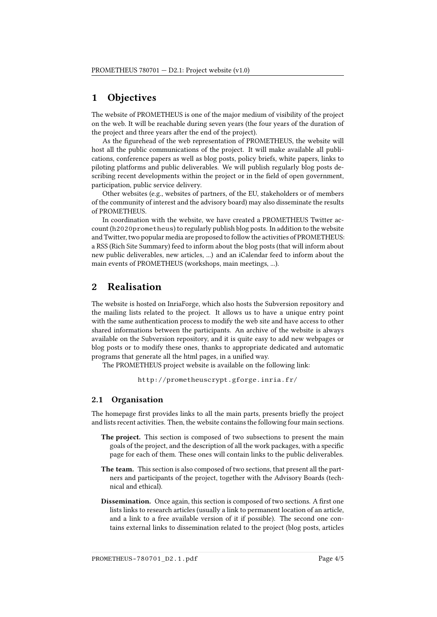#### 1 Objectives

The website of PROMETHEUS is one of the major medium of visibility of the project on the web. It will be reachable during seven years (the four years of the duration of the project and three years after the end of the project).

As the figurehead of the web representation of PROMETHEUS, the website will host all the public communications of the project. It will make available all publications, conference papers as well as blog posts, policy briefs, white papers, links to piloting platforms and public deliverables. We will publish regularly blog posts describing recent developments within the project or in the field of open government, participation, public service delivery.

Other websites (e.g., websites of partners, of the EU, stakeholders or of members of the community of interest and the advisory board) may also disseminate the results of PROMETHEUS.

In coordination with the website, we have created a PROMETHEUS Twitter account ([h2020prometheus](https://twitter.com/h2020prometheus)) to regularly publish blog posts. In addition to the website and Twitter, two popular media are proposed to follow the activities of PROMETHEUS: a RSS (Rich Site Summary) feed to inform about the blog posts (that will inform about new public deliverables, new articles, ...) and an iCalendar feed to inform about the main events of PROMETHEUS (workshops, main meetings, ...).

## 2 Realisation

The website is hosted on InriaForge, which also hosts the Subversion repository and the mailing lists related to the project. It allows us to have a unique entry point with the same authentication process to modify the web site and have access to other shared informations between the participants. An archive of the website is always available on the Subversion repository, and it is quite easy to add new webpages or blog posts or to modify these ones, thanks to appropriate dedicated and automatic programs that generate all the html pages, in a unified way.

The PROMETHEUS project website is available on the following link:

```
http://prometheuscrypt.gforge.inria.fr/
```
#### 2.1 Organisation

The homepage first provides links to all the main parts, presents briefly the project and lists recent activities. Then, the website contains the following four main sections.

- The project. This section is composed of two subsections to present the main goals of the project, and the description of all the work packages, with a specic page for each of them. These ones will contain links to the public deliverables.
- The team. This section is also composed of two sections, that present all the partners and participants of the project, together with the Advisory Boards (technical and ethical).
- **Dissemination.** Once again, this section is composed of two sections. A first one lists links to research articles (usually a link to permanent location of an article, and a link to a free available version of it if possible). The second one contains external links to dissemination related to the project (blog posts, articles

PROMETHEUS-780701\_D2.1.pdf Page 4/5